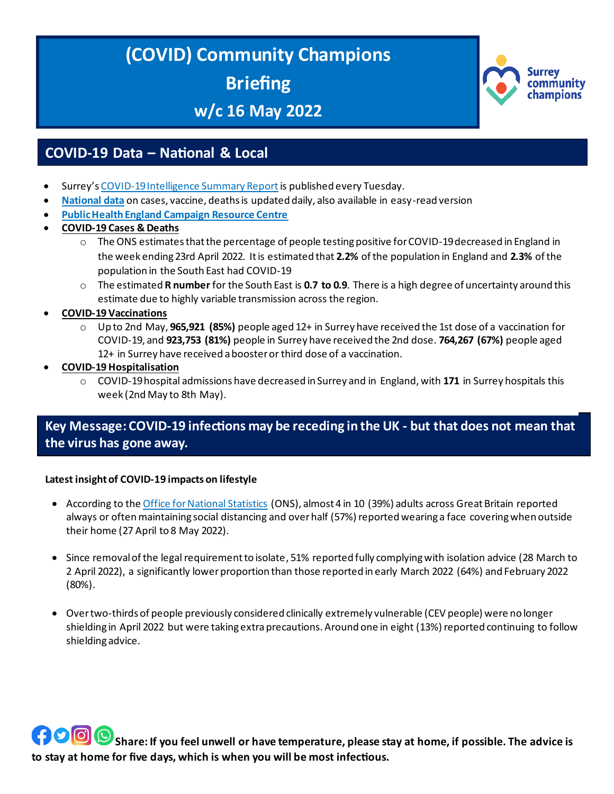# **(COVID) Community Champions Briefing**

**w/c 16 May 2022**



# **COVID-19 Data – National & Local**

- Surrey's [COVID-19 Intelligence Summary Report](https://www.surreycc.gov.uk/health-and-welfare/coronavirus/local-outbreak-plan/figures-and-statistics/full-report) is published every Tuesday.
- **[National data](https://coronavirus.data.gov.uk/)** on cases, vaccine, deaths is updated daily, also available in easy-read version
- **[Public Health England Campaign Resource Centre](https://campaignresources.phe.gov.uk/resources/)**
- **COVID-19 Cases & Deaths**
	- $\circ$  The ONS estimates that the percentage of people testing positive for COVID-19 decreased in England in the week ending 23rd April 2022. It is estimated that **2.2%** of the population in England and **2.3%** of the population in the South East had COVID-19
	- o The estimated **R number** for the South East is **0.7 to 0.9**. There is a high degree of uncertainty around this estimate due to highly variable transmission across the region.
- **COVID-19 Vaccinations** 
	- o Up to 2nd May, **965,921 (85%)** people aged 12+ in Surrey have received the 1st dose of a vaccination for COVID-19, and **923,753 (81%)** people in Surrey have received the 2nd dose. **764,267 (67%)** people aged 12+ in Surrey have received a booster or third dose of a vaccination.
- **COVID-19 Hospitalisation** 
	- o COVID-19 hospital admissions have decreased in Surrey and in England, with **171** in Surrey hospitals this week (2nd May to 8th May).

## **Key Message: COVID-19 infections may be receding in the UK - but that does not mean that the virus has gone away.**

#### **Latest insight of COVID-19 impacts on lifestyle**

- According to the [Office for National Statistics](https://www.ons.gov.uk/peoplepopulationandcommunity/healthandsocialcare/conditionsanddiseases/articles/coronaviruscovid19latestinsights/lifestyle) (ONS), almost 4 in 10 (39%) adults across Great Britain reported always or often maintaining social distancing and over half (57%) reported wearing a face covering when outside their home (27 April to 8 May 2022).
- Since removal of the legal requirement to isolate, 51% reported fully complying with isolation advice (28 March to 2 April 2022), a significantly lower proportion than those reported in early March 2022 (64%) and February 2022 (80%).
- Over two-thirds of people previously considered clinically extremely vulnerable (CEV people) were no longer shielding in April 2022 but were taking extra precautions. Around one in eight (13%) reported continuing to follow shielding advice.

**SHOOO**Share: If you feel unwell or have temperature, please stay at home, if possible. The advice is **to stay at home for five days, which is when you will be most infectious.**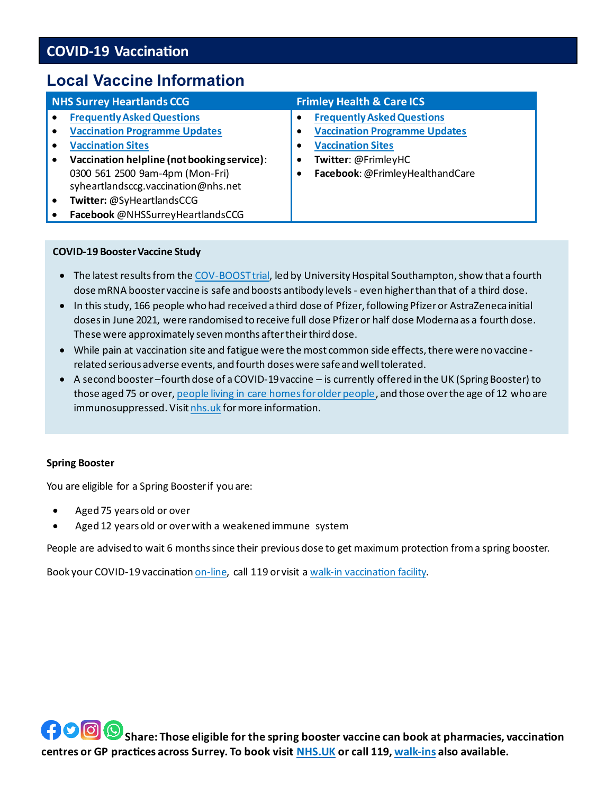# **COVID-19 Vaccination**

# **Local Vaccine Information**

| <b>NHS Surrey Heartlands CCG</b>            | <b>Frimley Health &amp; Care ICS</b> |
|---------------------------------------------|--------------------------------------|
| <b>Frequently Asked Questions</b>           | <b>Frequently Asked Questions</b>    |
| <b>Vaccination Programme Updates</b>        | <b>Vaccination Programme Updates</b> |
| <b>Vaccination Sites</b>                    |                                      |
| Vaccination helpline (not booking service): | <b>Vaccination Sites</b>             |
| 0300 561 2500 9am-4pm (Mon-Fri)             |                                      |
| syheartlandsccg.vaccination@nhs.net         | Twitter: @FrimleyHC                  |
| Twitter: @SyHeartlandsCCG                   |                                      |
| Facebook @NHSSurreyHeartlandsCCG            | Facebook: @FrimleyHealthandCare      |

#### **COVID-19 Booster Vaccine Study**

- The latest results from th[e COV-BOOST trial,](https://www.thelancet.com/journals/laninf/article/PIIS1473-3099(22)00271-7/fulltext) led by University Hospital Southampton, show that a fourth dose mRNA booster vaccine is safe and boosts antibody levels - even higher than that of a third dose.
- In this study, 166 people who had received a third dose of Pfizer, following Pfizer or AstraZeneca initial doses in June 2021, were randomised to receive full dose Pfizer or half dose Moderna as a fourth dose. These were approximately seven months after their third dose.
- While pain at vaccination site and fatigue were the most common side effects, there were no vaccine related serious adverse events, and fourth doses were safe and well tolerated.
- A second booster –fourth dose of a COVID-19vaccine is currently offered in the UK (Spring Booster) to those aged 75 or over[, people living in care homes for older people,](https://www.gov.uk/government/publications/covid-19-vaccination-spring-booster-resources) and those over the age of 12 who are immunosuppressed. Visi[t nhs.uk](https://www.nhs.uk/conditions/coronavirus-covid-19/coronavirus-vaccination/how-to-get-a-coronavirus-vaccine/how-to-get-a-booster-dose/) for more information.

#### **Spring Booster**

You are eligible for a Spring Booster if you are:

- Aged 75 years old or over
- Aged 12 years old or over with a weakened immune system

People are advised to wait 6 months since their previous dose to get maximum protection from a spring booster.

Book your COVID-19 vaccinatio[n on-line,](https://www.nhs.uk/conditions/coronavirus-covid-19/coronavirus-vaccination/book-coronavirus-vaccination/) call 119 or visit [a walk-in vaccination facility.](https://www.nhs.uk/conditions/coronavirus-covid-19/coronavirus-vaccination/find-a-walk-in-coronavirus-covid-19-vaccination-site/)